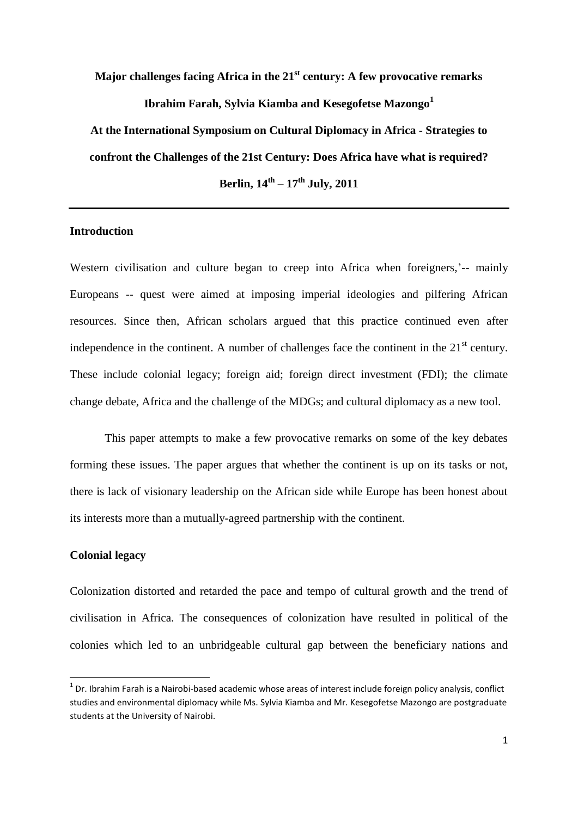**Major challenges facing Africa in the 21st century: A few provocative remarks Ibrahim Farah, Sylvia Kiamba and Kesegofetse Mazongo<sup>1</sup> At the International Symposium on Cultural Diplomacy in Africa - Strategies to** 

**confront the Challenges of the 21st Century: Does Africa have what is required?**

**Berlin, 14th – 17th July, 2011**

# **Introduction**

Western civilisation and culture began to creep into Africa when foreigners,  $\text{--}$  mainly Europeans -- quest were aimed at imposing imperial ideologies and pilfering African resources. Since then, African scholars argued that this practice continued even after independence in the continent. A number of challenges face the continent in the  $21<sup>st</sup>$  century. These include colonial legacy; foreign aid; foreign direct investment (FDI); the climate change debate, Africa and the challenge of the MDGs; and cultural diplomacy as a new tool.

This paper attempts to make a few provocative remarks on some of the key debates forming these issues. The paper argues that whether the continent is up on its tasks or not, there is lack of visionary leadership on the African side while Europe has been honest about its interests more than a mutually-agreed partnership with the continent.

# **Colonial legacy**

1

Colonization distorted and retarded the pace and tempo of cultural growth and the trend of civilisation in Africa. The consequences of colonization have resulted in political of the colonies which led to an unbridgeable cultural gap between the beneficiary nations and

 $1$  Dr. Ibrahim Farah is a Nairobi-based academic whose areas of interest include foreign policy analysis, conflict studies and environmental diplomacy while Ms. Sylvia Kiamba and Mr. Kesegofetse Mazongo are postgraduate students at the University of Nairobi.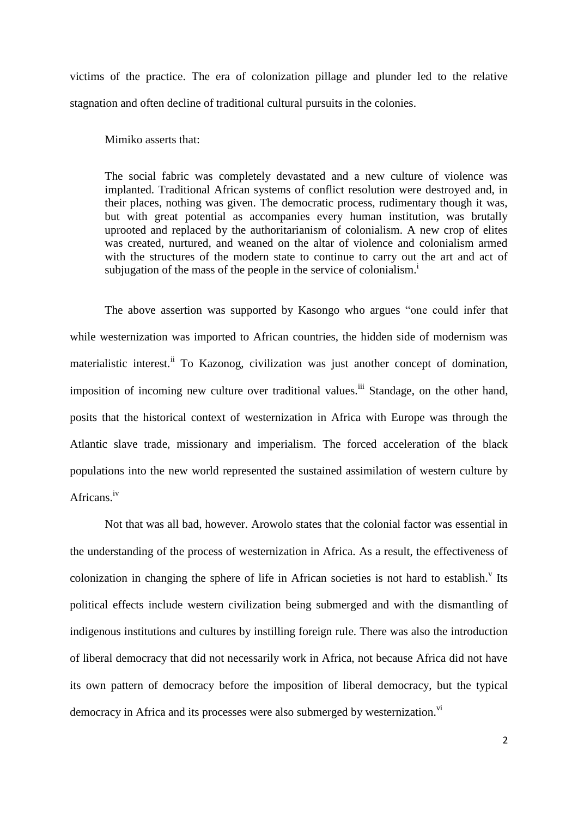victims of the practice. The era of colonization pillage and plunder led to the relative stagnation and often decline of traditional cultural pursuits in the colonies.

Mimiko asserts that:

The social fabric was completely devastated and a new culture of violence was implanted. Traditional African systems of conflict resolution were destroyed and, in their places, nothing was given. The democratic process, rudimentary though it was, but with great potential as accompanies every human institution, was brutally uprooted and replaced by the authoritarianism of colonialism. A new crop of elites was created, nurtured, and weaned on the altar of violence and colonialism armed with the structures of the modern state to continue to carry out the art and act of subjugation of the mass of the people in the service of colonialism.<sup>1</sup>

The above assertion was supported by Kasongo who argues "one could infer that while westernization was imported to African countries, the hidden side of modernism was materialistic interest.<sup>ii</sup> To Kazonog, civilization was just another concept of domination, imposition of incoming new culture over traditional values.<sup>iii</sup> Standage, on the other hand, posits that the historical context of westernization in Africa with Europe was through the Atlantic slave trade, missionary and imperialism. The forced acceleration of the black populations into the new world represented the sustained assimilation of western culture by Africans.iv

Not that was all bad, however. Arowolo states that the colonial factor was essential in the understanding of the process of westernization in Africa. As a result, the effectiveness of colonization in changing the sphere of life in African societies is not hard to establish.<sup>v</sup> Its political effects include western civilization being submerged and with the dismantling of indigenous institutions and cultures by instilling foreign rule. There was also the introduction of liberal democracy that did not necessarily work in Africa, not because Africa did not have its own pattern of democracy before the imposition of liberal democracy, but the typical democracy in Africa and its processes were also submerged by westernization.<sup>vi</sup>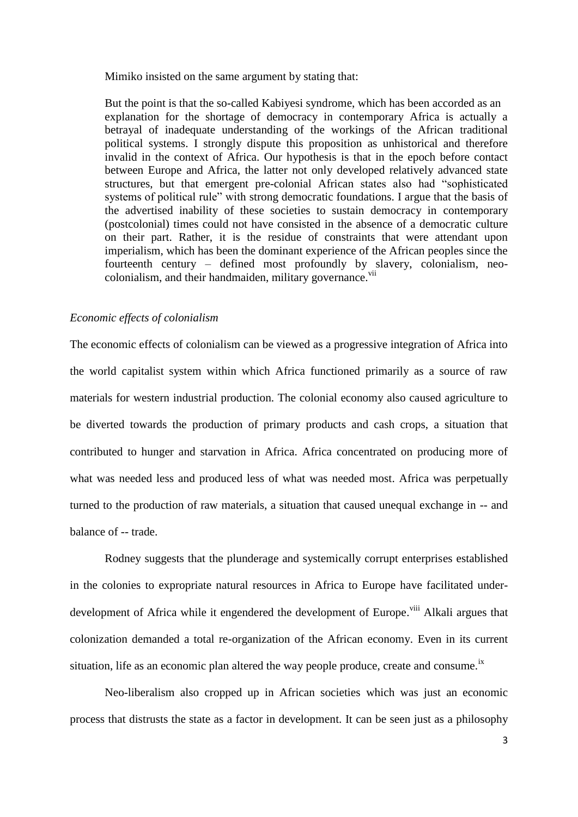Mimiko insisted on the same argument by stating that:

But the point is that the so-called Kabiyesi syndrome, which has been accorded as an explanation for the shortage of democracy in contemporary Africa is actually a betrayal of inadequate understanding of the workings of the African traditional political systems. I strongly dispute this proposition as unhistorical and therefore invalid in the context of Africa. Our hypothesis is that in the epoch before contact between Europe and Africa, the latter not only developed relatively advanced state structures, but that emergent pre-colonial African states also had "sophisticated systems of political rule" with strong democratic foundations. I argue that the basis of the advertised inability of these societies to sustain democracy in contemporary (postcolonial) times could not have consisted in the absence of a democratic culture on their part. Rather, it is the residue of constraints that were attendant upon imperialism, which has been the dominant experience of the African peoples since the fourteenth century – defined most profoundly by slavery, colonialism, neocolonialism, and their handmaiden, military governance.<sup>vii</sup>

### *Economic effects of colonialism*

The economic effects of colonialism can be viewed as a progressive integration of Africa into the world capitalist system within which Africa functioned primarily as a source of raw materials for western industrial production. The colonial economy also caused agriculture to be diverted towards the production of primary products and cash crops, a situation that contributed to hunger and starvation in Africa. Africa concentrated on producing more of what was needed less and produced less of what was needed most. Africa was perpetually turned to the production of raw materials, a situation that caused unequal exchange in -- and balance of -- trade.

Rodney suggests that the plunderage and systemically corrupt enterprises established in the colonies to expropriate natural resources in Africa to Europe have facilitated underdevelopment of Africa while it engendered the development of Europe.<sup>viii</sup> Alkali argues that colonization demanded a total re-organization of the African economy. Even in its current situation, life as an economic plan altered the way people produce, create and consume.<sup>ix</sup>

Neo-liberalism also cropped up in African societies which was just an economic process that distrusts the state as a factor in development. It can be seen just as a philosophy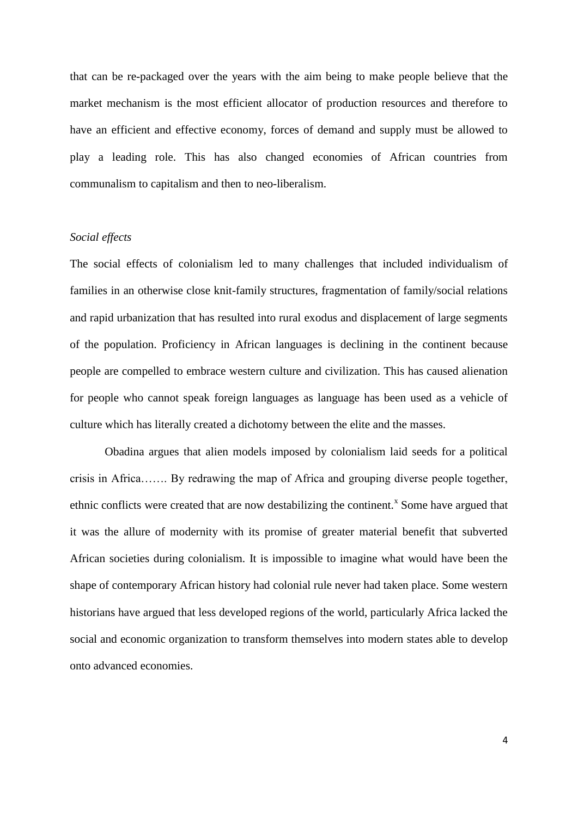that can be re-packaged over the years with the aim being to make people believe that the market mechanism is the most efficient allocator of production resources and therefore to have an efficient and effective economy, forces of demand and supply must be allowed to play a leading role. This has also changed economies of African countries from communalism to capitalism and then to neo-liberalism.

#### *Social effects*

The social effects of colonialism led to many challenges that included individualism of families in an otherwise close knit-family structures, fragmentation of family/social relations and rapid urbanization that has resulted into rural exodus and displacement of large segments of the population. Proficiency in African languages is declining in the continent because people are compelled to embrace western culture and civilization. This has caused alienation for people who cannot speak foreign languages as language has been used as a vehicle of culture which has literally created a dichotomy between the elite and the masses.

Obadina argues that alien models imposed by colonialism laid seeds for a political crisis in Africa……. By redrawing the map of Africa and grouping diverse people together, ethnic conflicts were created that are now destabilizing the continent.<sup>x</sup> Some have argued that it was the allure of modernity with its promise of greater material benefit that subverted African societies during colonialism. It is impossible to imagine what would have been the shape of contemporary African history had colonial rule never had taken place. Some western historians have argued that less developed regions of the world, particularly Africa lacked the social and economic organization to transform themselves into modern states able to develop onto advanced economies.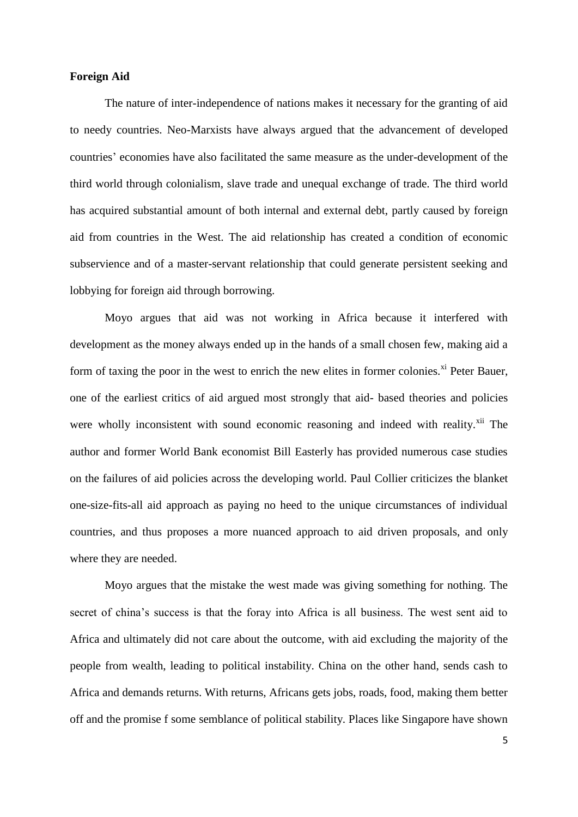## **Foreign Aid**

The nature of inter-independence of nations makes it necessary for the granting of aid to needy countries. Neo-Marxists have always argued that the advancement of developed countries' economies have also facilitated the same measure as the under-development of the third world through colonialism, slave trade and unequal exchange of trade. The third world has acquired substantial amount of both internal and external debt, partly caused by foreign aid from countries in the West. The aid relationship has created a condition of economic subservience and of a master-servant relationship that could generate persistent seeking and lobbying for foreign aid through borrowing.

Moyo argues that aid was not working in Africa because it interfered with development as the money always ended up in the hands of a small chosen few, making aid a form of taxing the poor in the west to enrich the new elites in former colonies.<sup>xi</sup> Peter Bauer, one of the earliest critics of aid argued most strongly that aid- based theories and policies were wholly inconsistent with sound economic reasoning and indeed with reality.<sup>xii</sup> The author and former World Bank economist Bill Easterly has provided numerous case studies on the failures of aid policies across the developing world. Paul Collier criticizes the blanket one-size-fits-all aid approach as paying no heed to the unique circumstances of individual countries, and thus proposes a more nuanced approach to aid driven proposals, and only where they are needed.

Moyo argues that the mistake the west made was giving something for nothing. The secret of china's success is that the foray into Africa is all business. The west sent aid to Africa and ultimately did not care about the outcome, with aid excluding the majority of the people from wealth, leading to political instability. China on the other hand, sends cash to Africa and demands returns. With returns, Africans gets jobs, roads, food, making them better off and the promise f some semblance of political stability. Places like Singapore have shown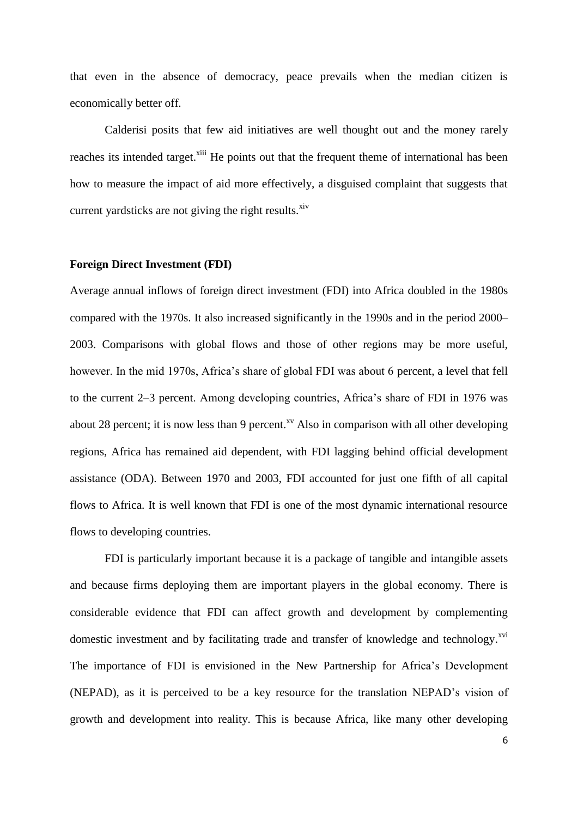that even in the absence of democracy, peace prevails when the median citizen is economically better off.

Calderisi posits that few aid initiatives are well thought out and the money rarely reaches its intended target.<sup>xiii</sup> He points out that the frequent theme of international has been how to measure the impact of aid more effectively, a disguised complaint that suggests that current yardsticks are not giving the right results. $\frac{x^2}{x^3}$ 

### **Foreign Direct Investment (FDI)**

Average annual inflows of foreign direct investment (FDI) into Africa doubled in the 1980s compared with the 1970s. It also increased significantly in the 1990s and in the period 2000– 2003. Comparisons with global flows and those of other regions may be more useful, however. In the mid 1970s, Africa's share of global FDI was about 6 percent, a level that fell to the current 2–3 percent. Among developing countries, Africa's share of FDI in 1976 was about 28 percent; it is now less than 9 percent.<sup>xv</sup> Also in comparison with all other developing regions, Africa has remained aid dependent, with FDI lagging behind official development assistance (ODA). Between 1970 and 2003, FDI accounted for just one fifth of all capital flows to Africa. It is well known that FDI is one of the most dynamic international resource flows to developing countries.

FDI is particularly important because it is a package of tangible and intangible assets and because firms deploying them are important players in the global economy. There is considerable evidence that FDI can affect growth and development by complementing domestic investment and by facilitating trade and transfer of knowledge and technology.<sup>xvi</sup> The importance of FDI is envisioned in the New Partnership for Africa's Development (NEPAD), as it is perceived to be a key resource for the translation NEPAD's vision of growth and development into reality. This is because Africa, like many other developing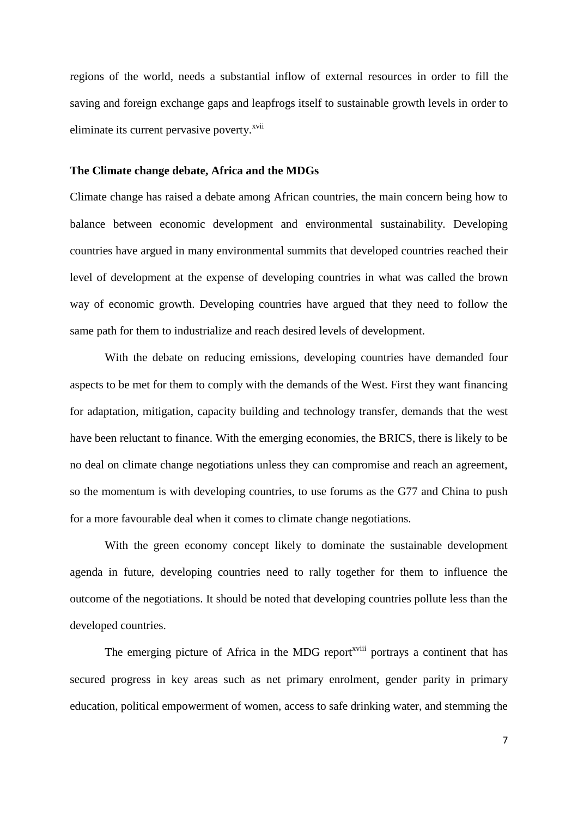regions of the world, needs a substantial inflow of external resources in order to fill the saving and foreign exchange gaps and leapfrogs itself to sustainable growth levels in order to eliminate its current pervasive poverty.<sup>xvii</sup>

### **The Climate change debate, Africa and the MDGs**

Climate change has raised a debate among African countries, the main concern being how to balance between economic development and environmental sustainability. Developing countries have argued in many environmental summits that developed countries reached their level of development at the expense of developing countries in what was called the brown way of economic growth. Developing countries have argued that they need to follow the same path for them to industrialize and reach desired levels of development.

With the debate on reducing emissions, developing countries have demanded four aspects to be met for them to comply with the demands of the West. First they want financing for adaptation, mitigation, capacity building and technology transfer, demands that the west have been reluctant to finance. With the emerging economies, the BRICS, there is likely to be no deal on climate change negotiations unless they can compromise and reach an agreement, so the momentum is with developing countries, to use forums as the G77 and China to push for a more favourable deal when it comes to climate change negotiations.

With the green economy concept likely to dominate the sustainable development agenda in future, developing countries need to rally together for them to influence the outcome of the negotiations. It should be noted that developing countries pollute less than the developed countries.

The emerging picture of Africa in the MDG report<sup>xviii</sup> portrays a continent that has secured progress in key areas such as net primary enrolment, gender parity in primary education, political empowerment of women, access to safe drinking water, and stemming the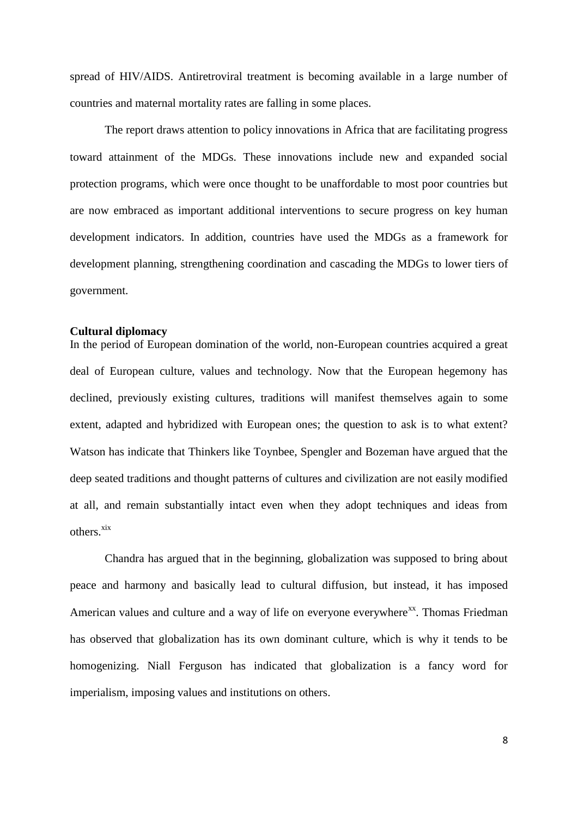spread of HIV/AIDS. Antiretroviral treatment is becoming available in a large number of countries and maternal mortality rates are falling in some places.

The report draws attention to policy innovations in Africa that are facilitating progress toward attainment of the MDGs. These innovations include new and expanded social protection programs, which were once thought to be unaffordable to most poor countries but are now embraced as important additional interventions to secure progress on key human development indicators. In addition, countries have used the MDGs as a framework for development planning, strengthening coordination and cascading the MDGs to lower tiers of government.

### **Cultural diplomacy**

In the period of European domination of the world, non-European countries acquired a great deal of European culture, values and technology. Now that the European hegemony has declined, previously existing cultures, traditions will manifest themselves again to some extent, adapted and hybridized with European ones; the question to ask is to what extent? Watson has indicate that Thinkers like Toynbee, Spengler and Bozeman have argued that the deep seated traditions and thought patterns of cultures and civilization are not easily modified at all, and remain substantially intact even when they adopt techniques and ideas from others<sup>xix</sup>

Chandra has argued that in the beginning, globalization was supposed to bring about peace and harmony and basically lead to cultural diffusion, but instead, it has imposed American values and culture and a way of life on everyone everywhere<sup>xx</sup>. Thomas Friedman has observed that globalization has its own dominant culture, which is why it tends to be homogenizing. Niall Ferguson has indicated that globalization is a fancy word for imperialism, imposing values and institutions on others.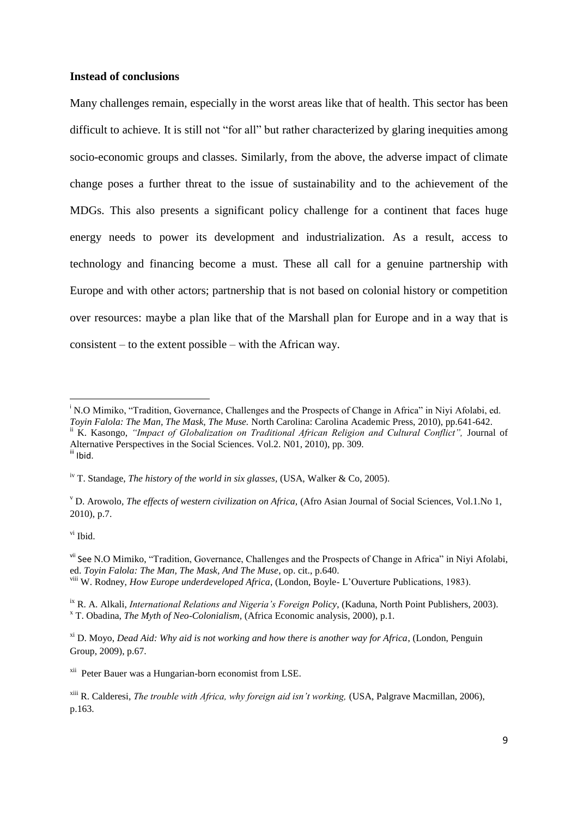### **Instead of conclusions**

Many challenges remain, especially in the worst areas like that of health. This sector has been difficult to achieve. It is still not "for all" but rather characterized by glaring inequities among socio-economic groups and classes. Similarly, from the above, the adverse impact of climate change poses a further threat to the issue of sustainability and to the achievement of the MDGs. This also presents a significant policy challenge for a continent that faces huge energy needs to power its development and industrialization. As a result, access to technology and financing become a must. These all call for a genuine partnership with Europe and with other actors; partnership that is not based on colonial history or competition over resources: maybe a plan like that of the Marshall plan for Europe and in a way that is consistent – to the extent possible – with the African way.

vi Ibid.

**.** 

<sup>&</sup>lt;sup>i</sup> N.O Mimiko, "Tradition, Governance, Challenges and the Prospects of Change in Africa" in Nivi Afolabi, ed. *Toyin Falola: The Man, The Mask, The Muse.* North Carolina: Carolina Academic Press, 2010), pp.641-642. ii K. Kasongo, *"Impact of Globalization on Traditional African Religion and Cultural Conflict",* Journal of Alternative Perspectives in the Social Sciences. Vol.2. N01, 2010), pp. 309. iii Ibid.

iv T. Standage, *The history of the world in six glasses,* (USA, Walker & Co, 2005).

<sup>v</sup> D. Arowolo*, The effects of western civilization on Africa,* (Afro Asian Journal of Social Sciences, Vol.1.No 1, 2010), p.7.

<sup>&</sup>lt;sup>vii</sup> See N.O Mimiko, "Tradition, Governance, Challenges and the Prospects of Change in Africa" in Niyi Afolabi, ed. *Toyin Falola: The Man, The Mask, And The Muse*, op. cit., p.640. viii W. Rodney, *How Europe underdeveloped Africa*, (London, Boyle- L'Ouverture Publications, 1983).

ix R. A. Alkali, *International Relations and Nigeria's Foreign Policy*, (Kaduna, North Point Publishers, 2003). <sup>x</sup> T. Obadina, *The Myth of Neo-Colonialism,* (Africa Economic analysis, 2000), p.1.

xi D. Moyo, *Dead Aid: Why aid is not working and how there is another way for Africa*, (London, Penguin Group, 2009), p.67.

<sup>&</sup>lt;sup>xii</sup> Peter Bauer was a Hungarian-born economist from LSE.

xiii R. Calderesi, *The trouble with Africa, why foreign aid isn't working,* (USA, Palgrave Macmillan, 2006), p.163.